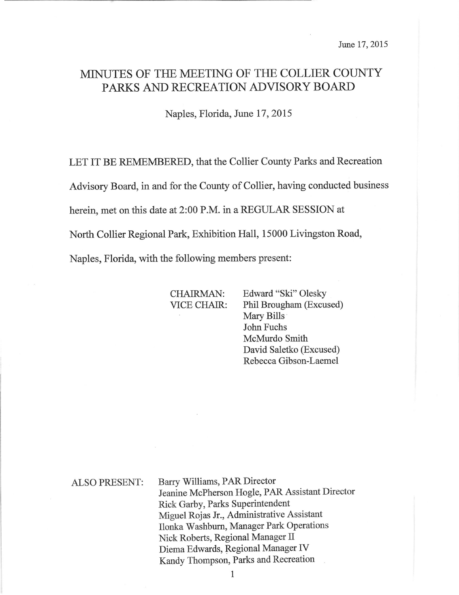# MINUTES OF THE MEETING OF THE COLLIER COUNTY PARKS AND RECREATION ADVISORY BOARD

Naples, Florida, June 17, 2015

LET IT BE REMEMBERED, that the Collier County Parks and Recreation

Advisory Board, in and for the County of Collier, having conducted business

herein, met on this date at 2:00 P.M. in a REGULAR SESSION at

North Collier Regional Park, Exhibition Hall, 15000 Livingston Road,

Naples, Florida, with the following members present:

CHAIRMAN: Edward "Ski" Olesky VICE CHAIR: Phil Brougham (Excused) Mary Bills John Fuchs McMurdo Smith David Saletko (Excused) Rebecca Gibson-Laemel

ALSO PRESENT: Barry Williams, PAR Director Jeanine McPherson Hogle, PAR Assistant Director Rick Garby, Parks Superintendent Miguel Rojas Jr., Administrative Assistant Ilonka Washburn, Manager Park Operations Nick Roberts, Regional Manager II Diema Edwards, Regional Manager fV Kandy Thompson, Parks and Recreation

1